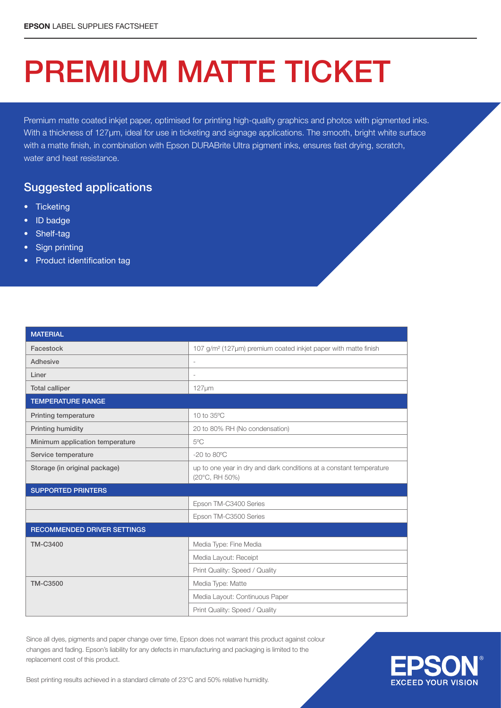## PREMIUM MATTE TICKET

Premium matte coated inkjet paper, optimised for printing high-quality graphics and photos with pigmented inks. With a thickness of 127µm, ideal for use in ticketing and signage applications. The smooth, bright white surface with a matte finish, in combination with Epson DURABrite Ultra pigment inks, ensures fast drying, scratch, water and heat resistance.

## Suggested applications

- Ticketing
- ID badge
- Shelf-tag
- Sign printing
- Product identification tag

| <b>MATERIAL</b>                    |                                                                                       |  |  |  |
|------------------------------------|---------------------------------------------------------------------------------------|--|--|--|
| Facestock                          | 107 g/m <sup>2</sup> (127µm) premium coated inkjet paper with matte finish            |  |  |  |
| Adhesive                           | $\overline{\phantom{a}}$                                                              |  |  |  |
| Liner                              |                                                                                       |  |  |  |
| <b>Total calliper</b>              | $127 \mu m$                                                                           |  |  |  |
| <b>TEMPERATURE RANGE</b>           |                                                                                       |  |  |  |
| <b>Printing temperature</b>        | 10 to 35°C                                                                            |  |  |  |
| Printing humidity                  | 20 to 80% RH (No condensation)                                                        |  |  |  |
| Minimum application temperature    | 5°C                                                                                   |  |  |  |
| Service temperature                | $-20$ to $80^{\circ}$ C                                                               |  |  |  |
| Storage (in original package)      | up to one year in dry and dark conditions at a constant temperature<br>(20°C, RH 50%) |  |  |  |
| <b>SUPPORTED PRINTERS</b>          |                                                                                       |  |  |  |
|                                    | Epson TM-C3400 Series                                                                 |  |  |  |
|                                    | Epson TM-C3500 Series                                                                 |  |  |  |
| <b>RECOMMENDED DRIVER SETTINGS</b> |                                                                                       |  |  |  |
| <b>TM-C3400</b>                    | Media Type: Fine Media                                                                |  |  |  |
|                                    | Media Layout: Receipt                                                                 |  |  |  |
|                                    | Print Quality: Speed / Quality                                                        |  |  |  |
| <b>TM-C3500</b>                    | Media Type: Matte                                                                     |  |  |  |
|                                    | Media Layout: Continuous Paper                                                        |  |  |  |
|                                    | Print Quality: Speed / Quality                                                        |  |  |  |

Since all dyes, pigments and paper change over time, Epson does not warrant this product against colour changes and fading. Epson's liability for any defects in manufacturing and packaging is limited to the replacement cost of this product.



Best printing results achieved in a standard climate of 23°C and 50% relative humidity.